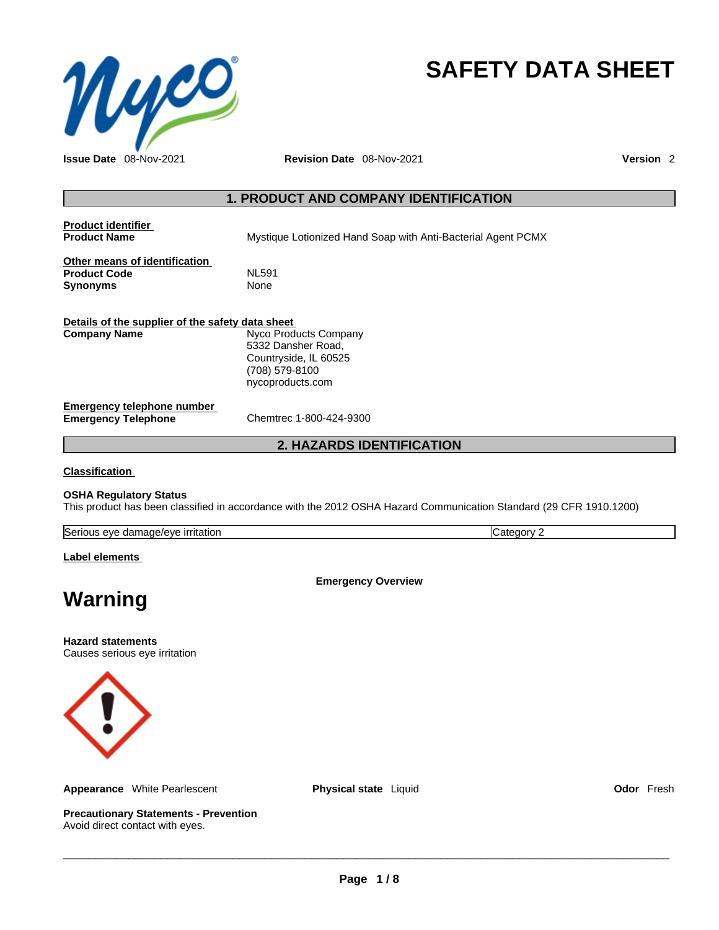

# **SAFETY DATA SHEET**

**Issue Date** 08-Nov-2021 **Revision Date** 08-Nov-2021 **Version** 2

## **1. PRODUCT AND COMPANY IDENTIFICATION**

**Product identifier**

**Mystique Lotionized Hand Soap with Anti-Bacterial Agent PCMX** 

**Other means of identification**<br>**Product Code** ML591 **Product Code** NL591 **Synonyms** 

| Details of the supplier of the safety data sheet         |                                                                                                            |  |  |
|----------------------------------------------------------|------------------------------------------------------------------------------------------------------------|--|--|
| <b>Company Name</b>                                      | Nyco Products Company<br>5332 Dansher Road,<br>Countryside, IL 60525<br>(708) 579-8100<br>nycoproducts.com |  |  |
| Emergency telephone number<br><b>Emergency Telephone</b> | Chemtrec 1-800-424-9300                                                                                    |  |  |

## **2. HAZARDS IDENTIFICATION**

**Classification**

#### **OSHA Regulatory Status**

This product has been classified in accordance with the 2012 OSHA Hazard Communication Standard (29 CFR 1910.1200)

| Seri<br>irritation<br>damage/eve<br>eve<br>100<br>115 | п, |
|-------------------------------------------------------|----|
|                                                       |    |

#### **Label elements**

**Emergency Overview** 

## **Warning**

**Hazard statements** Causes serious eye irritation



**Appearance** White Pearlescent **Physical state** Liquid **Odor** Fresh

**Precautionary Statements - Prevention** Avoid direct contact with eyes.

 $\_$  ,  $\_$  ,  $\_$  ,  $\_$  ,  $\_$  ,  $\_$  ,  $\_$  ,  $\_$  ,  $\_$  ,  $\_$  ,  $\_$  ,  $\_$  ,  $\_$  ,  $\_$  ,  $\_$  ,  $\_$  ,  $\_$  ,  $\_$  ,  $\_$  ,  $\_$  ,  $\_$  ,  $\_$  ,  $\_$  ,  $\_$  ,  $\_$  ,  $\_$  ,  $\_$  ,  $\_$  ,  $\_$  ,  $\_$  ,  $\_$  ,  $\_$  ,  $\_$  ,  $\_$  ,  $\_$  ,  $\_$  ,  $\_$  ,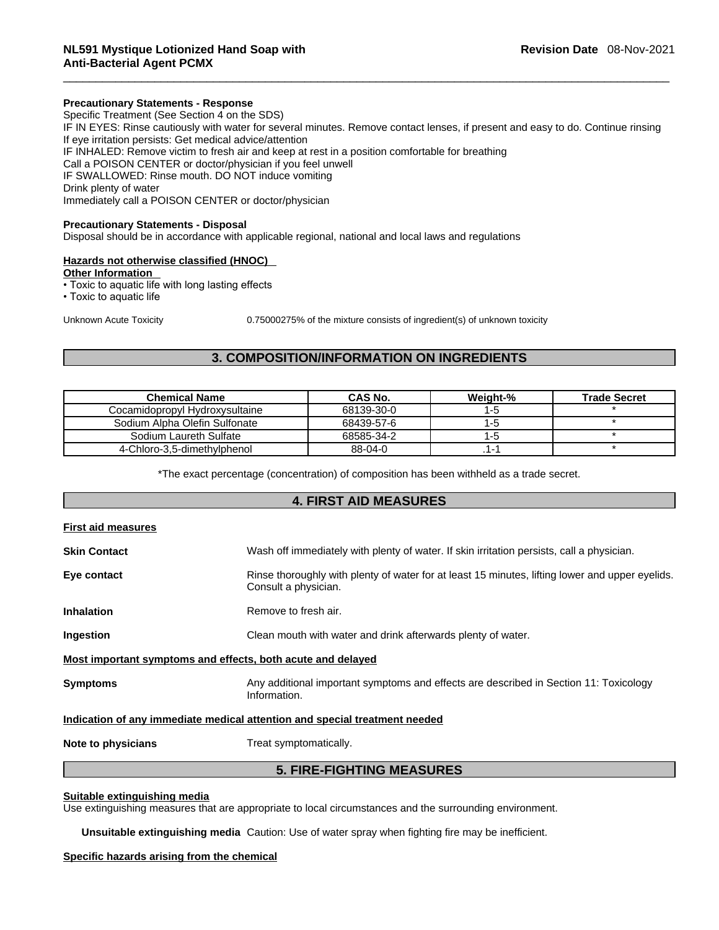#### **Precautionary Statements - Response**

Specific Treatment (See Section 4 on the SDS) IF IN EYES: Rinse cautiously with water for several minutes. Remove contact lenses, if present and easy to do. Continue rinsing If eye irritation persists: Get medical advice/attention IF INHALED: Remove victim to fresh air and keep at rest in a position comfortable for breathing Call a POISON CENTER or doctor/physician if you feel unwell IF SWALLOWED: Rinse mouth. DO NOT induce vomiting Drink plenty of water Immediately call a POISON CENTER or doctor/physician

#### **Precautionary Statements - Disposal**

Disposal should be in accordance with applicable regional, national and local laws and regulations

#### **Hazards not otherwise classified (HNOC)**

**Other Information** 

• Toxic to aquatic life with long lasting effects

• Toxic to aquatic life

Unknown Acute Toxicity 0.75000275% of the mixture consists of ingredient(s) of unknown toxicity

## **3. COMPOSITION/INFORMATION ON INGREDIENTS**

| <b>Chemical Name</b>           | CAS No.    | Weight-% | <b>Trade Secret</b> |
|--------------------------------|------------|----------|---------------------|
| Cocamidopropyl Hydroxysultaine | 68139-30-0 | ıю       |                     |
| Sodium Alpha Olefin Sulfonate  | 68439-57-6 | -5       |                     |
| Sodium Laureth Sulfate         | 68585-34-2 | -9       |                     |
| 4-Chloro-3,5-dimethylphenol    | 88-04-0    |          |                     |

\*The exact percentage (concentration) of composition has been withheld as a trade secret.

## **4. FIRST AID MEASURES First aid measures Skin Contact** Wash off immediately with plenty of water. If skin irritation persists, call a physician. **Eye contact Rinse thoroughly with plenty of water for at least 15 minutes, lifting lower and upper eyelids.** Consult a physician. **Inhalation** Remove to fresh air. **Ingestion** Clean mouth with water and drink afterwards plenty of water. **Most important symptoms and effects, both acute and delayed Symptoms Any additional important symptoms and effects are described in Section 11: Toxicology** Information. **Indication of any immediate medical attention and special treatment needed Note to physicians** Treat symptomatically. **5. FIRE-FIGHTING MEASURES**

#### **Suitable extinguishing media**

Use extinguishing measures that are appropriate to local circumstances and the surrounding environment.

**Unsuitable extinguishing media** Caution: Use of water spray when fighting fire may be inefficient.

#### **Specific hazards arising from the chemical**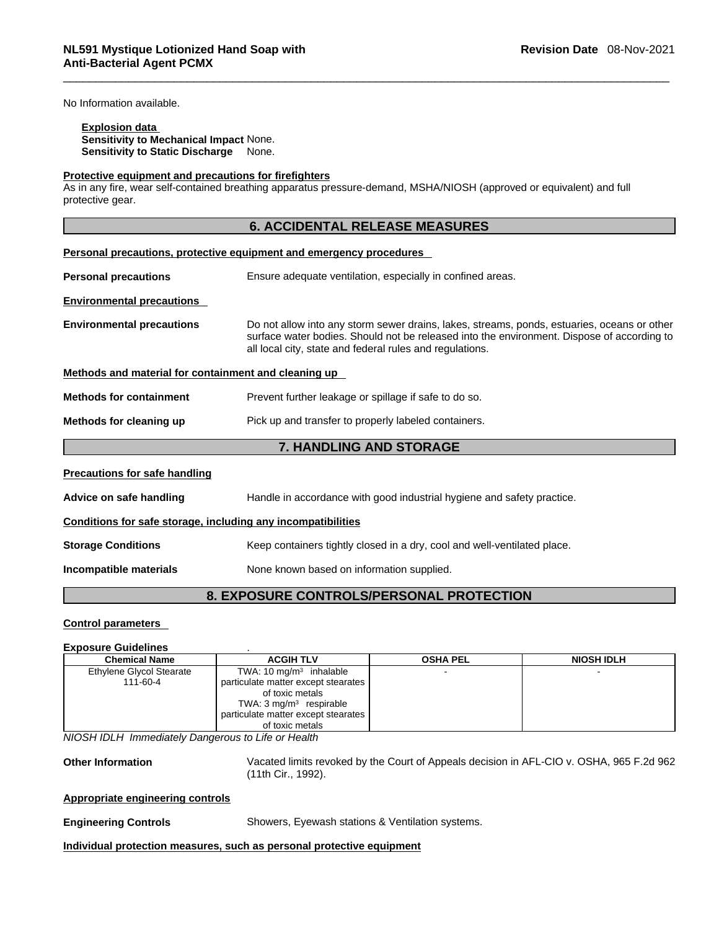No Information available.

Н

**Explosion data Sensitivity to Mechanical Impact** None. **Sensitivity to Static Discharge** None.

#### **Protective equipment and precautions for firefighters**

As in any fire, wear self-contained breathing apparatus pressure-demand, MSHA/NIOSH (approved or equivalent) and full protective gear.

|                                                              | <b>6. ACCIDENTAL RELEASE MEASURES</b>                                                                                                                                                                                                                 |
|--------------------------------------------------------------|-------------------------------------------------------------------------------------------------------------------------------------------------------------------------------------------------------------------------------------------------------|
|                                                              | Personal precautions, protective equipment and emergency procedures                                                                                                                                                                                   |
| <b>Personal precautions</b>                                  | Ensure adequate ventilation, especially in confined areas.                                                                                                                                                                                            |
| <b>Environmental precautions</b>                             |                                                                                                                                                                                                                                                       |
| <b>Environmental precautions</b>                             | Do not allow into any storm sewer drains, lakes, streams, ponds, estuaries, oceans or other<br>surface water bodies. Should not be released into the environment. Dispose of according to<br>all local city, state and federal rules and regulations. |
| Methods and material for containment and cleaning up         |                                                                                                                                                                                                                                                       |
| <b>Methods for containment</b>                               | Prevent further leakage or spillage if safe to do so.                                                                                                                                                                                                 |
| Methods for cleaning up                                      | Pick up and transfer to properly labeled containers.                                                                                                                                                                                                  |
|                                                              | 7. HANDLING AND STORAGE                                                                                                                                                                                                                               |
| <b>Precautions for safe handling</b>                         |                                                                                                                                                                                                                                                       |
| Advice on safe handling                                      | Handle in accordance with good industrial hygiene and safety practice.                                                                                                                                                                                |
| Conditions for safe storage, including any incompatibilities |                                                                                                                                                                                                                                                       |
| <b>Storage Conditions</b>                                    | Keep containers tightly closed in a dry, cool and well-ventilated place.                                                                                                                                                                              |
| Incompatible materials                                       | None known based on information supplied.                                                                                                                                                                                                             |
|                                                              |                                                                                                                                                                                                                                                       |

## **8. EXPOSURE CONTROLS/PERSONAL PROTECTION**

## **Control parameters**

#### **Exposure Guidelines** .

| <b>Chemical Name</b>            | <b>ACGIH TLV</b>                    | <b>OSHA PEL</b> | <b>NIOSH IDLH</b> |
|---------------------------------|-------------------------------------|-----------------|-------------------|
| <b>Ethylene Glycol Stearate</b> | TWA: $10 \text{ mg/m}^3$ inhalable  |                 |                   |
| 111-60-4                        | particulate matter except stearates |                 |                   |
|                                 | of toxic metals                     |                 |                   |
|                                 | TWA: $3 \text{ mg/m}^3$ respirable  |                 |                   |
|                                 | particulate matter except stearates |                 |                   |
|                                 | of toxic metals                     |                 |                   |

*NIOSH IDLH Immediately Dangerous to Life or Health* 

**Other Information** Vacated limits revoked by the Court of Appeals decision in AFL-CIO v.OSHA, 965 F.2d 962 (11th Cir., 1992).

#### **Appropriate engineering controls**

**Engineering Controls** Showers, Eyewash stations & Ventilation systems.

**Individual protection measures, such as personal protective equipment**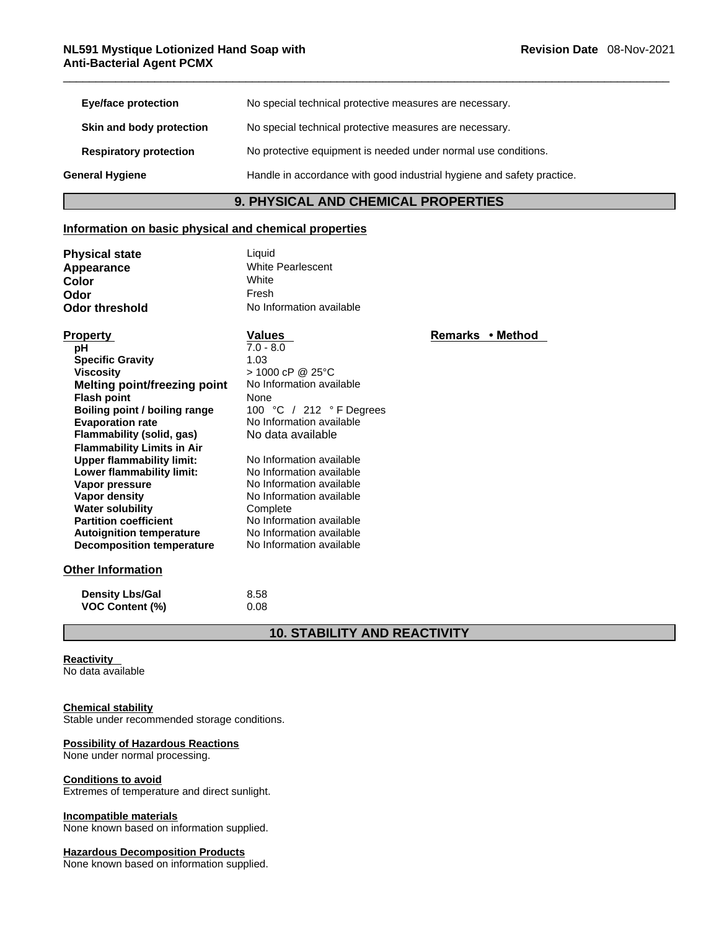| Eye/face protection           | No special technical protective measures are necessary.                |
|-------------------------------|------------------------------------------------------------------------|
| Skin and body protection      | No special technical protective measures are necessary.                |
| <b>Respiratory protection</b> | No protective equipment is needed under normal use conditions.         |
| General Hygiene               | Handle in accordance with good industrial hygiene and safety practice. |

## **9. PHYSICAL AND CHEMICAL PROPERTIES**

### **Information on basic physical and chemical properties**

| <b>Physical state</b> | Liquid                   |
|-----------------------|--------------------------|
| Appearance            | <b>White Pearlescent</b> |
| Color                 | White                    |
| Odor                  | Fresh                    |
| <b>Odor threshold</b> | No Information ava       |

**White Pearlescent**<br>White **Odor threshold** No Information available

| <b>Property</b>                   | <b>Values</b>            | Remarks • Method |  |
|-----------------------------------|--------------------------|------------------|--|
| рH                                | $7.0 - 8.0$              |                  |  |
| <b>Specific Gravity</b>           | 1.03                     |                  |  |
| <b>Viscosity</b>                  | > 1000 cP @ 25°C         |                  |  |
| Melting point/freezing point      | No Information available |                  |  |
| <b>Flash point</b>                | None                     |                  |  |
| Boiling point / boiling range     | 100 °C / 212 °F Degrees  |                  |  |
| <b>Evaporation rate</b>           | No Information available |                  |  |
| Flammability (solid, gas)         | No data available        |                  |  |
| <b>Flammability Limits in Air</b> |                          |                  |  |
| <b>Upper flammability limit:</b>  | No Information available |                  |  |
| Lower flammability limit:         | No Information available |                  |  |
| Vapor pressure                    | No Information available |                  |  |
| Vapor density                     | No Information available |                  |  |
| <b>Water solubility</b>           | Complete                 |                  |  |
| <b>Partition coefficient</b>      | No Information available |                  |  |
| <b>Autoignition temperature</b>   | No Information available |                  |  |
| <b>Decomposition temperature</b>  | No Information available |                  |  |

#### **Other Information**

| <b>Density Lbs/Gal</b> | 8.58 |
|------------------------|------|
| <b>VOC Content (%)</b> | 0.08 |

## **10. STABILITY AND REACTIVITY**

#### **Reactivity**

No data available

#### **Chemical stability**

Stable under recommended storage conditions.

#### **Possibility of Hazardous Reactions**

None under normal processing.

#### **Conditions to avoid**

Extremes of temperature and direct sunlight.

#### **Incompatible materials**

None known based on information supplied.

#### **Hazardous Decomposition Products**

None known based on information supplied.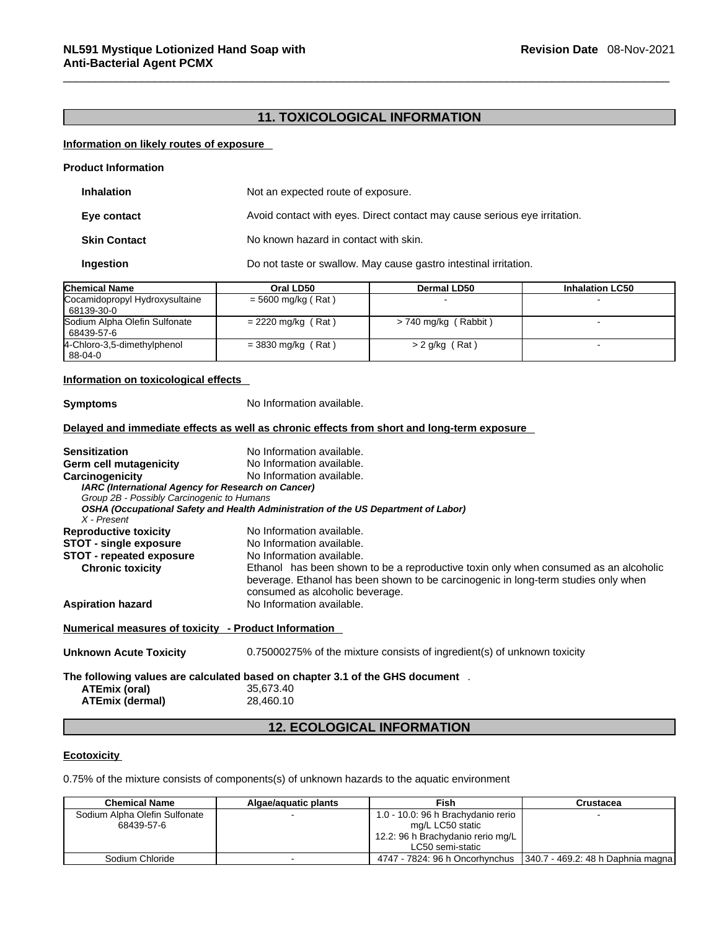## **11. TOXICOLOGICAL INFORMATION**

#### **Information on likely routes of exposure**

| <b>Product Information</b> |                                                                           |
|----------------------------|---------------------------------------------------------------------------|
| <b>Inhalation</b>          | Not an expected route of exposure.                                        |
| Eye contact                | Avoid contact with eyes. Direct contact may cause serious eye irritation. |
| <b>Skin Contact</b>        | No known hazard in contact with skin.                                     |
| Ingestion                  | Do not taste or swallow. May cause gastro intestinal irritation.          |

| <b>Chemical Name</b>                         | Oral LD50            | <b>Dermal LD50</b>   | <b>Inhalation LC50</b> |
|----------------------------------------------|----------------------|----------------------|------------------------|
| Cocamidopropyl Hydroxysultaine<br>68139-30-0 | $= 5600$ mg/kg (Rat) |                      |                        |
| Sodium Alpha Olefin Sulfonate<br>68439-57-6  | $= 2220$ mg/kg (Rat) | > 740 mg/kg (Rabbit) |                        |
| 4-Chloro-3,5-dimethylphenol<br>88-04-0       | $=$ 3830 mg/kg (Rat) | $>$ 2 g/kg (Rat)     |                        |

#### **Information on toxicological effects**

**Symptoms** No Information available. **Delayed and immediate effects as well as chronic effects from short and long-term exposure Sensitization** No Information available. **Germ cell mutagenicity** No Information available. **Carcinogenicity** No Information available. *IARC (International Agency for Research on Cancer) Group 2B - Possibly Carcinogenic to Humans OSHA (Occupational Safety and Health Administration of the US Department of Labor) X - Present*  **Reproductive toxicity** No Information available.<br>**STOT - single exposure** No Information available. **STOT** - single exposure **STOT** - **repeated exposure** No Information available.<br> **Chronic toxicity** Ethanol has been shown Ethanol has been shown to be a reproductive toxin only when consumed as an alcoholic beverage. Ethanol has been shown to be carcinogenic in long-term studies only when consumed as alcoholic beverage. **Aspiration hazard** No Information available. **Numerical measures of toxicity - Product Information Unknown Acute Toxicity** 0.75000275% of the mixtureconsists of ingredient(s) of unknown toxicity **The following values are calculated based on chapter 3.1 of the GHS document** .**ATEmix (oral)** 35,673.40 **ATEmix (dermal)**28,460.10

## **12. ECOLOGICAL INFORMATION**

#### **Ecotoxicity**

0.75% of the mixture consists of components(s) of unknown hazards to the aquatic environment

| <b>Chemical Name</b>          | Algae/aquatic plants | Fish                               | Crustacea                           |
|-------------------------------|----------------------|------------------------------------|-------------------------------------|
| Sodium Alpha Olefin Sulfonate |                      | 1.0 - 10.0: 96 h Brachydanio rerio |                                     |
| 68439-57-6                    |                      | mg/L LC50 static                   |                                     |
|                               |                      | 12.2: 96 h Brachydanio rerio mg/L  |                                     |
|                               |                      | LC50 semi-static                   |                                     |
| Sodium Chloride               |                      | 4747 - 7824: 96 h Oncorhynchus     | [340.7 - 469.2: 48 h Daphnia magna] |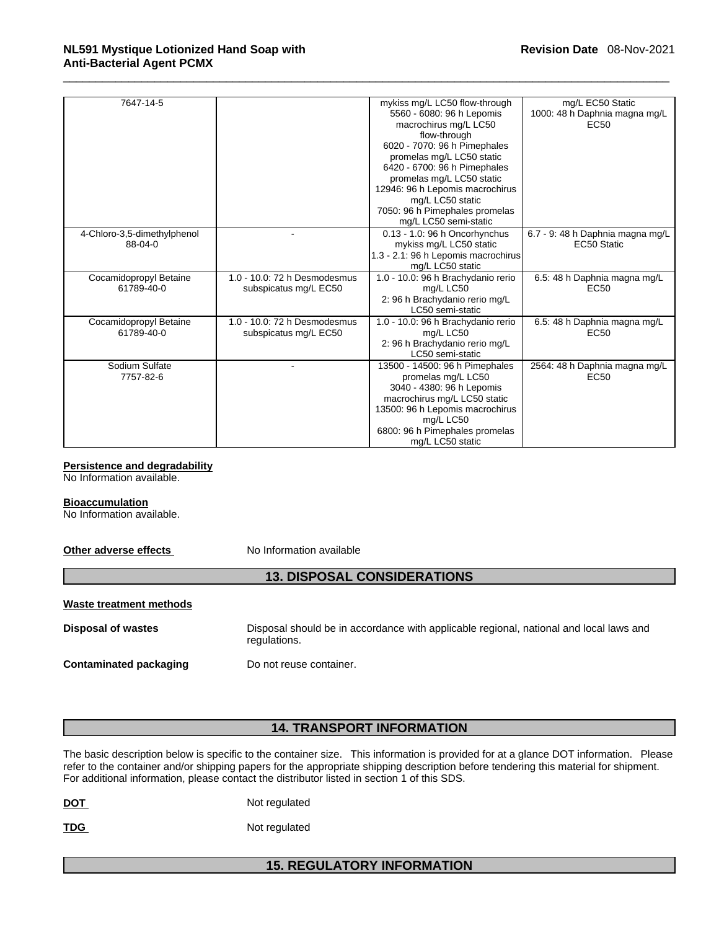| 7647-14-5                   |                              | mykiss mg/L LC50 flow-through       | mg/L EC50 Static                 |
|-----------------------------|------------------------------|-------------------------------------|----------------------------------|
|                             |                              | 5560 - 6080: 96 h Lepomis           | 1000: 48 h Daphnia magna mg/L    |
|                             |                              | macrochirus mg/L LC50               | <b>EC50</b>                      |
|                             |                              | flow-through                        |                                  |
|                             |                              | 6020 - 7070: 96 h Pimephales        |                                  |
|                             |                              | promelas mg/L LC50 static           |                                  |
|                             |                              | 6420 - 6700: 96 h Pimephales        |                                  |
|                             |                              | promelas mg/L LC50 static           |                                  |
|                             |                              | 12946: 96 h Lepomis macrochirus     |                                  |
|                             |                              | mg/L LC50 static                    |                                  |
|                             |                              | 7050: 96 h Pimephales promelas      |                                  |
|                             |                              | mg/L LC50 semi-static               |                                  |
| 4-Chloro-3,5-dimethylphenol |                              | 0.13 - 1.0: 96 h Oncorhynchus       | 6.7 - 9: 48 h Daphnia magna mg/L |
| 88-04-0                     |                              | mykiss mg/L LC50 static             | EC50 Static                      |
|                             |                              | 1.3 - 2.1: 96 h Lepomis macrochirus |                                  |
|                             |                              | mg/L LC50 static                    |                                  |
| Cocamidopropyl Betaine      | 1.0 - 10.0: 72 h Desmodesmus | 1.0 - 10.0: 96 h Brachydanio rerio  | 6.5: 48 h Daphnia magna mg/L     |
| 61789-40-0                  | subspicatus mg/L EC50        | mg/L LC50                           | <b>EC50</b>                      |
|                             |                              | 2: 96 h Brachydanio rerio mg/L      |                                  |
|                             |                              | LC50 semi-static                    |                                  |
| Cocamidopropyl Betaine      | 1.0 - 10.0: 72 h Desmodesmus | 1.0 - 10.0: 96 h Brachydanio rerio  | 6.5: 48 h Daphnia magna mg/L     |
| 61789-40-0                  | subspicatus mg/L EC50        | ma/L LC50                           | EC <sub>50</sub>                 |
|                             |                              | 2: 96 h Brachydanio rerio mg/L      |                                  |
|                             |                              | LC50 semi-static                    |                                  |
| Sodium Sulfate              |                              | 13500 - 14500: 96 h Pimephales      | 2564: 48 h Daphnia magna mg/L    |
| 7757-82-6                   |                              | promelas mg/L LC50                  | EC <sub>50</sub>                 |
|                             |                              | 3040 - 4380: 96 h Lepomis           |                                  |
|                             |                              | macrochirus mg/L LC50 static        |                                  |
|                             |                              | 13500: 96 h Lepomis macrochirus     |                                  |
|                             |                              | mg/L LC50                           |                                  |
|                             |                              | 6800: 96 h Pimephales promelas      |                                  |
|                             |                              | mg/L LC50 static                    |                                  |

## **Persistence and degradability**

No Information available.

#### **Bioaccumulation**

No Information available.

**Other adverse effects** No Information available

## **13. DISPOSAL CONSIDERATIONS**

| Waste treatment methods       |                                                                                                        |
|-------------------------------|--------------------------------------------------------------------------------------------------------|
| Disposal of wastes            | Disposal should be in accordance with applicable regional, national and local laws and<br>regulations. |
| <b>Contaminated packaging</b> | Do not reuse container.                                                                                |

## **14. TRANSPORT INFORMATION**

The basic description below is specific to the container size. This information is provided for at a glance DOT information. Please refer to the container and/or shipping papers for the appropriate shipping description before tendering this material for shipment. For additional information, please contact the distributor listed in section 1 of this SDS.

TDG Not regulated

## **15. REGULATORY INFORMATION**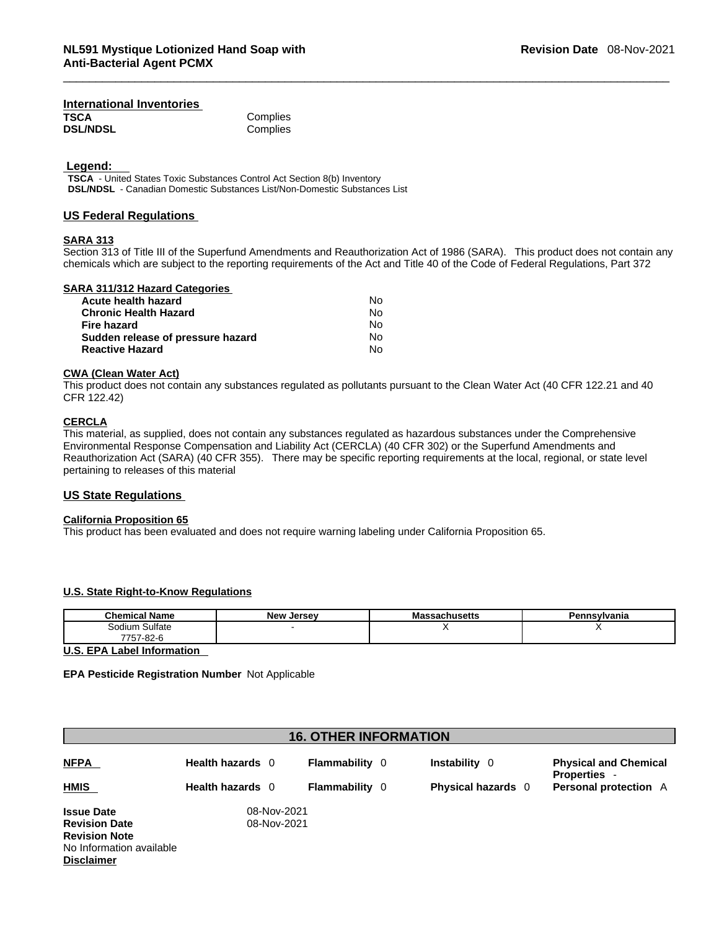#### **International Inventories TSCA** Complies<br> **DSL/NDSL** Complies **DSL/NDSL**

 **Legend:** 

**TSCA** - United States Toxic Substances Control Act Section 8(b) Inventory **DSL/NDSL** - Canadian Domestic Substances List/Non-Domestic Substances List

#### **US Federal Regulations**

#### **SARA 313**

Section 313 of Title III of the Superfund Amendments and Reauthorization Act of 1986 (SARA). This product does not contain any chemicals which are subject to the reporting requirements of the Act and Title 40 of the Code of Federal Regulations, Part 372

#### **SARA 311/312 Hazard Categories**

| Acute health hazard               | No. |
|-----------------------------------|-----|
| <b>Chronic Health Hazard</b>      | N٥  |
| Fire hazard                       | N٥  |
| Sudden release of pressure hazard | N٥  |
| <b>Reactive Hazard</b>            | N٥  |

#### **CWA** (Clean Water Act)

This product does not contain any substances regulated as pollutants pursuant to the Clean Water Act (40 CFR 122.21 and 40 CFR 122.42)

#### **CERCLA**

This material, as supplied, does not contain any substances regulated as hazardous substances under the Comprehensive Environmental Response Compensation and Liability Act (CERCLA) (40 CFR 302) or the Superfund Amendments and Reauthorization Act (SARA) (40 CFR 355). There may be specific reporting requirements at the local, regional, or state level pertaining to releases of this material

#### **US State Regulations**

#### **California Proposition 65**

This product has been evaluated and does not require warning labeling under California Proposition 65.

#### **U.S. State Right-to-Know Regulations**

| <b>Chemical Name</b> | <b>New Jersey</b> | achucatte<br>IVI O<br>aunuseus | Pennsylvania |
|----------------------|-------------------|--------------------------------|--------------|
| Sulfate<br>Sodium    |                   |                                |              |
| 7757-82-6            |                   |                                |              |

**U.S. EPA Label Information** 

#### **EPA Pesticide Registration Number** Not Applicable

| <b>16. OTHER INFORMATION</b> |                  |                       |                           |                                                   |  |  |  |
|------------------------------|------------------|-----------------------|---------------------------|---------------------------------------------------|--|--|--|
| <b>NFPA</b>                  | Health hazards 0 | <b>Flammability</b> 0 | <b>Instability</b> 0      | <b>Physical and Chemical</b><br><b>Properties</b> |  |  |  |
| <b>HMIS</b>                  | Health hazards 0 | Flammability 0        | <b>Physical hazards</b> 0 | <b>Personal protection</b> A                      |  |  |  |
| <b>Issue Date</b>            | 08-Nov-2021      |                       |                           |                                                   |  |  |  |
| <b>Revision Date</b>         | 08-Nov-2021      |                       |                           |                                                   |  |  |  |
| <b>Revision Note</b>         |                  |                       |                           |                                                   |  |  |  |
| No Information available     |                  |                       |                           |                                                   |  |  |  |

No Information available **Disclaimer**